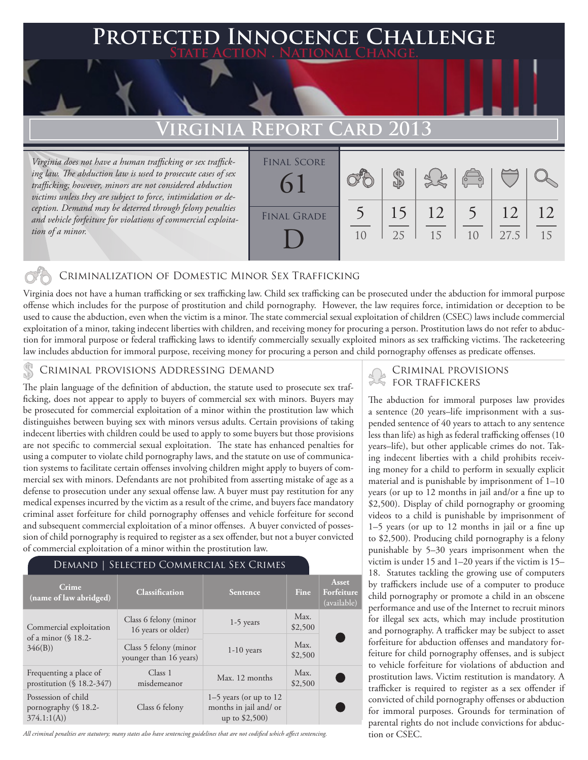### **FED INNOCENCE CHALLENGE State Action . National Change.**

## **Virginia Report Card 2013**

*Virginia does not have a human trafficking or sex trafficking law. The abduction law is used to prosecute cases of sex trafficking; however, minors are not considered abduction victims unless they are subject to force, intimidation or deception. Demand may be deterred through felony penalties and vehicle forfeiture for violations of commercial exploitation of a minor.* 

| <b>FINAL SCORE</b> |    |    |    |                                                          |      |    |
|--------------------|----|----|----|----------------------------------------------------------|------|----|
| $\Omega$           |    |    |    | $\left(\begin{matrix} 0 & 0 \ 0 & 0 \end{matrix}\right)$ |      |    |
| <b>FINAL GRADE</b> |    | 15 | 12 |                                                          | 12   | 12 |
|                    | 10 | 25 | 15 | 10                                                       | 27.5 | 15 |

#### Criminalization of Domestic Minor Sex Trafficking

Virginia does not have a human trafficking or sex trafficking law. Child sex trafficking can be prosecuted under the abduction for immoral purpose offense which includes for the purpose of prostitution and child pornography. However, the law requires force, intimidation or deception to be used to cause the abduction, even when the victim is a minor. The state commercial sexual exploitation of children (CSEC) laws include commercial exploitation of a minor, taking indecent liberties with children, and receiving money for procuring a person. Prostitution laws do not refer to abduction for immoral purpose or federal trafficking laws to identify commercially sexually exploited minors as sex trafficking victims. The racketeering law includes abduction for immoral purpose, receiving money for procuring a person and child pornography offenses as predicate offenses.

#### Criminal provisions Addressing demand

The plain language of the definition of abduction, the statute used to prosecute sex trafficking, does not appear to apply to buyers of commercial sex with minors. Buyers may be prosecuted for commercial exploitation of a minor within the prostitution law which distinguishes between buying sex with minors versus adults. Certain provisions of taking indecent liberties with children could be used to apply to some buyers but those provisions are not specific to commercial sexual exploitation. The state has enhanced penalties for using a computer to violate child pornography laws, and the statute on use of communication systems to facilitate certain offenses involving children might apply to buyers of commercial sex with minors. Defendants are not prohibited from asserting mistake of age as a defense to prosecution under any sexual offense law. A buyer must pay restitution for any medical expenses incurred by the victim as a result of the crime, and buyers face mandatory criminal asset forfeiture for child pornography offenses and vehicle forfeiture for second and subsequent commercial exploitation of a minor offenses. A buyer convicted of possession of child pornography is required to register as a sex offender, but not a buyer convicted of commercial exploitation of a minor within the prostitution law.

#### Demand | Selected Commercial Sex Crimes

| Crime<br>(name of law abridged)                             | <b>Classification</b>                           | Sentence                                                                | <b>Fine</b>     | Asset<br>Forfeiture<br>(available) |
|-------------------------------------------------------------|-------------------------------------------------|-------------------------------------------------------------------------|-----------------|------------------------------------|
| Commercial exploitation<br>of a minor $(\S$ 18.2-<br>346(B) | Class 6 felony (minor<br>16 years or older)     | $1-5$ years                                                             | Max.<br>\$2,500 |                                    |
|                                                             | Class 5 felony (minor<br>younger than 16 years) | $1-10$ years                                                            | Max.<br>\$2,500 |                                    |
| Frequenting a place of<br>prostitution $(\S 18.2-347)$      | Class 1<br>misdemeanor                          | Max. 12 months                                                          | Max.<br>\$2,500 |                                    |
| Possession of child<br>pornography (§ 18.2-<br>374.1:1(A)   | Class 6 felony                                  | $1-5$ years (or up to 12)<br>months in jail and/ or<br>up to $$2,500$ ) |                 |                                    |

*All criminal penalties are statutory; many states also have sentencing guidelines that are not codified which affect sentencing.* 

#### Criminal provisions for traffickers

The abduction for immoral purposes law provides a sentence (20 years–life imprisonment with a suspended sentence of 40 years to attach to any sentence less than life) as high as federal trafficking offenses (10 years–life), but other applicable crimes do not. Taking indecent liberties with a child prohibits receiving money for a child to perform in sexually explicit material and is punishable by imprisonment of 1–10 years (or up to 12 months in jail and/or a fine up to \$2,500). Display of child pornography or grooming videos to a child is punishable by imprisonment of 1–5 years (or up to 12 months in jail or a fine up to \$2,500). Producing child pornography is a felony punishable by 5–30 years imprisonment when the victim is under 15 and 1–20 years if the victim is 15– 18. Statutes tackling the growing use of computers by traffickers include use of a computer to produce child pornography or promote a child in an obscene performance and use of the Internet to recruit minors for illegal sex acts, which may include prostitution and pornography. A trafficker may be subject to asset forfeiture for abduction offenses and mandatory forfeiture for child pornography offenses, and is subject to vehicle forfeiture for violations of abduction and prostitution laws. Victim restitution is mandatory. A trafficker is required to register as a sex offender if convicted of child pornography offenses or abduction for immoral purposes. Grounds for termination of parental rights do not include convictions for abduction or CSEC.